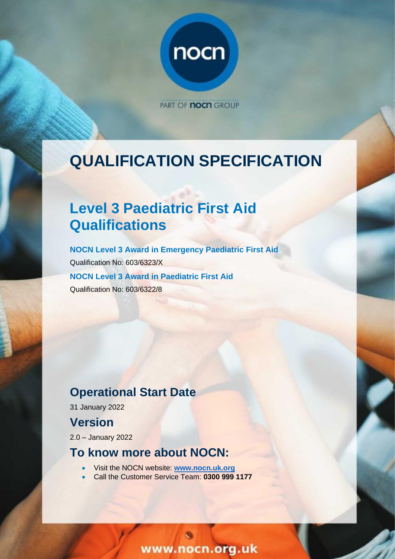

PART OF **nocn** GROUP

# **QUALIFICATION SPECIFICATION**

# **Level 3 Paediatric First Aid Qualifications**

**NOCN Level 3 Award in Emergency Paediatric First Aid** Qualification No: 603/6323/X **NOCN Level 3 Award in Paediatric First Aid** Qualification No: 603/6322/8

## **Operational Start Date**

31 January 2022

## **Version**

2.0 – January 2022

## **To know more about NOCN:**

- Visit the NOCN website: **[www.nocn.uk.org](http://www.nocn.uk.org/)**
- Call the Customer Service Team: **0300 999 1177**

www.nocn.org.uk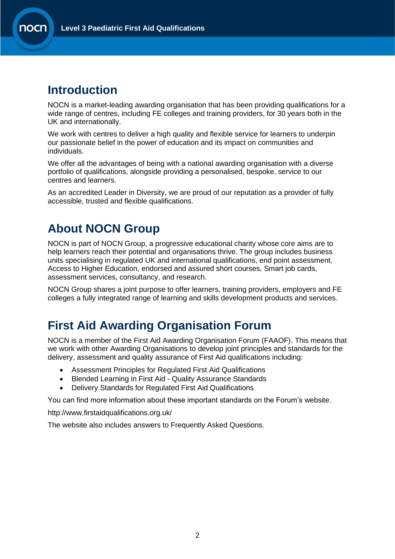## **Introduction**

NOCN is a market-leading awarding organisation that has been providing qualifications for a wide range of centres, including FE colleges and training providers, for 30 years both in the UK and internationally.

We work with centres to deliver a high quality and flexible service for learners to underpin our passionate belief in the power of education and its impact on communities and individuals.

We offer all the advantages of being with a national awarding organisation with a diverse portfolio of qualifications, alongside providing a personalised, bespoke, service to our centres and learners.

As an accredited Leader in Diversity, we are proud of our reputation as a provider of fully accessible, trusted and flexible qualifications.

## **About NOCN Group**

NOCN is part of [NOCN Group,](https://www.nocn.org.uk/about/nocn-group/) a progressive educational charity whose core aims are to help learners reach their potential and organisations thrive. The group includes business units specialising in regulated UK and international qualifications, end point assessment, Access to Higher Education, endorsed and assured short courses, Smart job cards, assessment services, consultancy, and research.

NOCN Group shares a joint purpose to offer learners, training providers, employers and FE colleges a fully integrated range of learning and skills development products and services.

## **First Aid Awarding Organisation Forum**

NOCN is a member of the First Aid Awarding Organisation Forum (FAAOF). This means that we work with other Awarding Organisations to develop joint principles and standards for the delivery, assessment and quality assurance of First Aid qualifications including:

- Assessment Principles for Regulated First Aid Qualifications
- Blended Learning in First Aid Quality Assurance Standards
- Delivery Standards for Regulated First Aid Qualifications

You can find more information about these important standards on the Forum's [website.](http://www.firstaidqualifications.org.uk/)

<http://www.firstaidqualifications.org.uk/>

The website also includes answers to Frequently Asked Questions.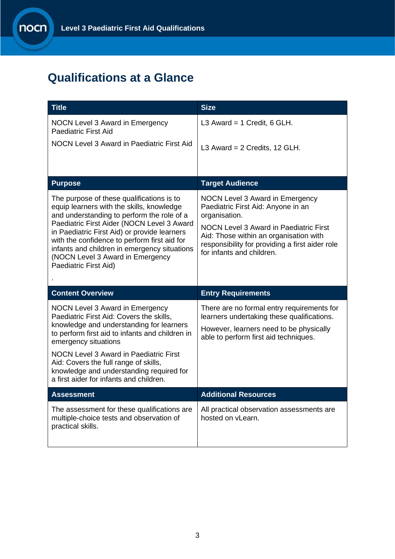## **Qualifications at a Glance**

| <b>Title</b>                                                                                                                                                                                                                                                                                                                                                                                    | <b>Size</b>                                                                                                                                                                                                                                                       |
|-------------------------------------------------------------------------------------------------------------------------------------------------------------------------------------------------------------------------------------------------------------------------------------------------------------------------------------------------------------------------------------------------|-------------------------------------------------------------------------------------------------------------------------------------------------------------------------------------------------------------------------------------------------------------------|
| NOCN Level 3 Award in Emergency<br><b>Paediatric First Aid</b>                                                                                                                                                                                                                                                                                                                                  | L3 Award = $1$ Credit, 6 GLH.                                                                                                                                                                                                                                     |
| NOCN Level 3 Award in Paediatric First Aid                                                                                                                                                                                                                                                                                                                                                      | L3 Award = $2$ Credits, 12 GLH.                                                                                                                                                                                                                                   |
|                                                                                                                                                                                                                                                                                                                                                                                                 |                                                                                                                                                                                                                                                                   |
| <b>Purpose</b>                                                                                                                                                                                                                                                                                                                                                                                  | <b>Target Audience</b>                                                                                                                                                                                                                                            |
| The purpose of these qualifications is to<br>equip learners with the skills, knowledge<br>and understanding to perform the role of a<br>Paediatric First Aider (NOCN Level 3 Award<br>in Paediatric First Aid) or provide learners<br>with the confidence to perform first aid for<br>infants and children in emergency situations<br>(NOCN Level 3 Award in Emergency<br>Paediatric First Aid) | NOCN Level 3 Award in Emergency<br>Paediatric First Aid: Anyone in an<br>organisation.<br><b>NOCN Level 3 Award in Paediatric First</b><br>Aid: Those within an organisation with<br>responsibility for providing a first aider role<br>for infants and children. |
| <b>Content Overview</b>                                                                                                                                                                                                                                                                                                                                                                         |                                                                                                                                                                                                                                                                   |
|                                                                                                                                                                                                                                                                                                                                                                                                 | <b>Entry Requirements</b>                                                                                                                                                                                                                                         |
| NOCN Level 3 Award in Emergency<br>Paediatric First Aid: Covers the skills,<br>knowledge and understanding for learners<br>to perform first aid to infants and children in<br>emergency situations                                                                                                                                                                                              | There are no formal entry requirements for<br>learners undertaking these qualifications.<br>However, learners need to be physically<br>able to perform first aid techniques.                                                                                      |
| <b>NOCN Level 3 Award in Paediatric First</b><br>Aid: Covers the full range of skills,<br>knowledge and understanding required for<br>a first aider for infants and children.                                                                                                                                                                                                                   |                                                                                                                                                                                                                                                                   |
| <b>Assessment</b>                                                                                                                                                                                                                                                                                                                                                                               | <b>Additional Resources</b>                                                                                                                                                                                                                                       |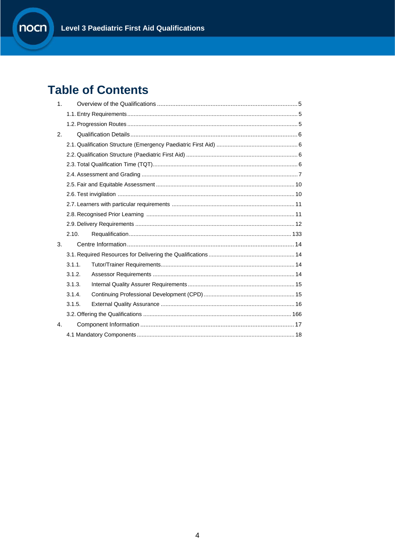## **Table of Contents**

| 1 <sub>1</sub>       |        |  |
|----------------------|--------|--|
|                      |        |  |
|                      |        |  |
| 2.                   |        |  |
|                      |        |  |
|                      |        |  |
|                      |        |  |
|                      |        |  |
|                      |        |  |
|                      |        |  |
|                      |        |  |
|                      |        |  |
|                      |        |  |
|                      | 2.10.  |  |
| 3.                   |        |  |
|                      |        |  |
|                      | 3.1.1. |  |
|                      | 3.1.2. |  |
|                      | 3.1.3. |  |
|                      | 3.1.4. |  |
|                      | 3.1.5. |  |
|                      |        |  |
| $\mathbf{A}_{\cdot}$ |        |  |
|                      |        |  |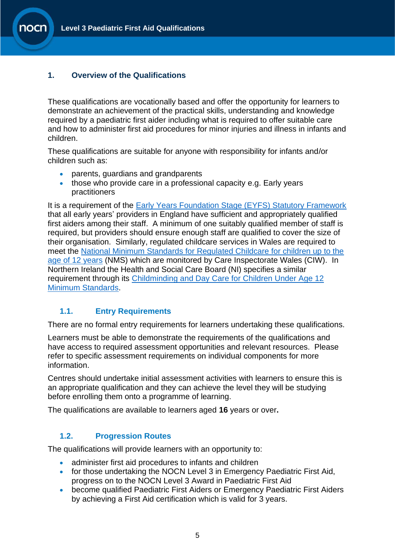#### <span id="page-4-0"></span>**1. Overview of the Qualifications**

These qualifications are vocationally based and offer the opportunity for learners to demonstrate an achievement of the practical skills, understanding and knowledge required by a paediatric first aider including what is required to offer suitable care and how to administer first aid procedures for minor injuries and illness in infants and children.

These qualifications are suitable for anyone with responsibility for infants and/or children such as:

- parents, guardians and grandparents
- those who provide care in a professional capacity e.g. Early years practitioners

It is a requirement of the **Early Years Foundation Stage (EYFS) Statutory Framework** that all early years' providers in England have sufficient and appropriately qualified first aiders among their staff. A minimum of one suitably qualified member of staff is required, but providers should ensure enough staff are qualified to cover the size of their organisation. Similarly, regulated childcare services in Wales are required to meet the [National Minimum Standards for Regulated Childcare for children up to the](https://careinspectorate.wales/sites/default/files/2018-01/160411regchildcareen.pdf)  age [of 12 years](https://careinspectorate.wales/sites/default/files/2018-01/160411regchildcareen.pdf) (NMS) which are monitored by Care Inspectorate Wales (CIW). In Northern Ireland the Health and Social Care Board (NI) specifies a similar requirement through its [Childminding and Day Care for Children Under Age 12](https://www.health-ni.gov.uk/sites/default/files/publications/dhssps/early-years-standards-full-version.pdf)  [Minimum Standards.](https://www.health-ni.gov.uk/sites/default/files/publications/dhssps/early-years-standards-full-version.pdf)

### <span id="page-4-1"></span>**1.1. Entry Requirements**

There are no formal entry requirements for learners undertaking these qualifications.

Learners must be able to demonstrate the requirements of the qualifications and have access to required assessment opportunities and relevant resources. Please refer to specific assessment requirements on individual components for more information.

Centres should undertake initial assessment activities with learners to ensure this is an appropriate qualification and they can achieve the level they will be studying before enrolling them onto a programme of learning.

The qualifications are available to learners aged **16** years or over**.**

### <span id="page-4-2"></span>**1.2. Progression Routes**

The qualifications will provide learners with an opportunity to:

- administer first aid procedures to infants and children
- for those undertaking the NOCN Level 3 in Emergency Paediatric First Aid, progress on to the NOCN Level 3 Award in Paediatric First Aid
- become qualified Paediatric First Aiders or Emergency Paediatric First Aiders by achieving a First Aid certification which is valid for 3 years.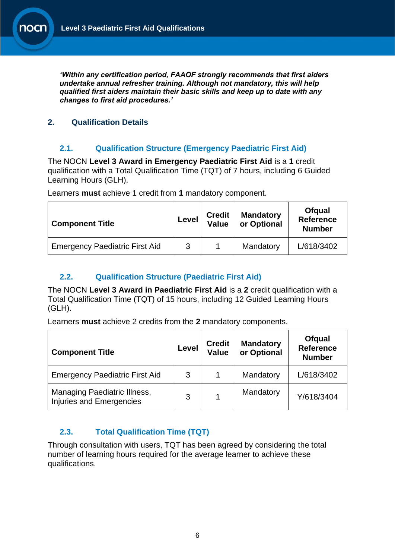*'Within any certification period, FAAOF strongly recommends that first aiders undertake annual refresher training. Although not mandatory, this will help qualified first aiders maintain their basic skills and keep up to date with any changes to first aid procedures.'*

## <span id="page-5-0"></span>**2. Qualification Details**

## <span id="page-5-1"></span>**2.1. Qualification Structure (Emergency Paediatric First Aid)**

The NOCN **Level 3 Award in Emergency Paediatric First Aid** is a **1** credit qualification with a Total Qualification Time (TQT) of 7 hours, including 6 Guided Learning Hours (GLH).

Learners **must** achieve 1 credit from **1** mandatory component.

| <b>Component Title</b>                | Level | <b>Credit</b><br>Value | <b>Mandatory</b><br>or Optional | <b>Ofgual</b><br><b>Reference</b><br><b>Number</b> |
|---------------------------------------|-------|------------------------|---------------------------------|----------------------------------------------------|
| <b>Emergency Paediatric First Aid</b> | 3     |                        | Mandatory                       | L/618/3402                                         |

### <span id="page-5-2"></span>**2.2. Qualification Structure (Paediatric First Aid)**

The NOCN **Level 3 Award in Paediatric First Aid** is a **2** credit qualification with a Total Qualification Time (TQT) of 15 hours, including 12 Guided Learning Hours (GLH).

Learners **must** achieve 2 credits from the **2** mandatory components.

| <b>Component Title</b>                                                 | Level | <b>Credit</b><br><b>Value</b> | <b>Mandatory</b><br>or Optional | <b>Ofqual</b><br><b>Reference</b><br><b>Number</b> |
|------------------------------------------------------------------------|-------|-------------------------------|---------------------------------|----------------------------------------------------|
| <b>Emergency Paediatric First Aid</b>                                  | 3     |                               | Mandatory                       | L/618/3402                                         |
| <b>Managing Paediatric Illness,</b><br><b>Injuries and Emergencies</b> | 3     |                               | Mandatory                       | Y/618/3404                                         |

## <span id="page-5-3"></span>**2.3. Total Qualification Time (TQT)**

Through consultation with users, TQT has been agreed by considering the total number of learning hours required for the average learner to achieve these qualifications.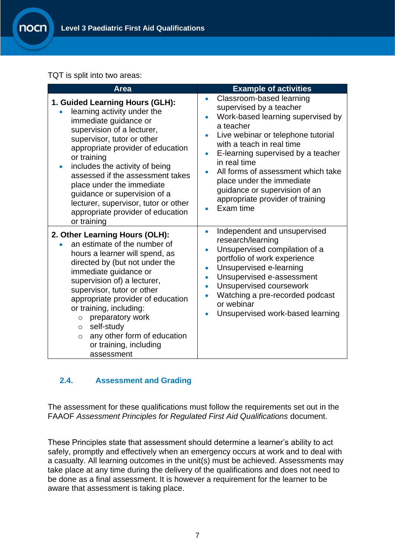TQT is split into two areas:

าocr

| <b>Area</b>                                                                                                                                                                                                                                                                                                                                                                                                                                         | <b>Example of activities</b>                                                                                                                                                                                                                                                                                                                                                                                               |
|-----------------------------------------------------------------------------------------------------------------------------------------------------------------------------------------------------------------------------------------------------------------------------------------------------------------------------------------------------------------------------------------------------------------------------------------------------|----------------------------------------------------------------------------------------------------------------------------------------------------------------------------------------------------------------------------------------------------------------------------------------------------------------------------------------------------------------------------------------------------------------------------|
| 1. Guided Learning Hours (GLH):<br>learning activity under the<br>immediate guidance or<br>supervision of a lecturer,<br>supervisor, tutor or other<br>appropriate provider of education<br>or training<br>includes the activity of being<br>$\bullet$<br>assessed if the assessment takes<br>place under the immediate<br>guidance or supervision of a<br>lecturer, supervisor, tutor or other<br>appropriate provider of education<br>or training | Classroom-based learning<br>$\bullet$<br>supervised by a teacher<br>Work-based learning supervised by<br>$\bullet$<br>a teacher<br>Live webinar or telephone tutorial<br>with a teach in real time<br>E-learning supervised by a teacher<br>in real time<br>All forms of assessment which take<br>$\bullet$<br>place under the immediate<br>guidance or supervision of an<br>appropriate provider of training<br>Exam time |
| 2. Other Learning Hours (OLH):<br>an estimate of the number of<br>hours a learner will spend, as<br>directed by (but not under the<br>immediate guidance or<br>supervision of) a lecturer,<br>supervisor, tutor or other<br>appropriate provider of education<br>or training, including:<br>preparatory work<br>$\circ$<br>self-study<br>$\circ$<br>any other form of education<br>$\circ$<br>or training, including<br>assessment                  | Independent and unsupervised<br>۰<br>research/learning<br>Unsupervised compilation of a<br>$\bullet$<br>portfolio of work experience<br>Unsupervised e-learning<br>$\bullet$<br>Unsupervised e-assessment<br>$\bullet$<br>Unsupervised coursework<br>$\bullet$<br>Watching a pre-recorded podcast<br>or webinar<br>Unsupervised work-based learning                                                                        |

### <span id="page-6-0"></span>**2.4. Assessment and Grading**

The assessment for these qualifications must follow the requirements set out in the FAAOF *Assessment Principles for Regulated First Aid Qualifications* document.

These Principles state that assessment should determine a learner's ability to act safely, promptly and effectively when an emergency occurs at work and to deal with a casualty. All learning outcomes in the unit(s) must be achieved. Assessments may take place at any time during the delivery of the qualifications and does not need to be done as a final assessment. It is however a requirement for the learner to be aware that assessment is taking place.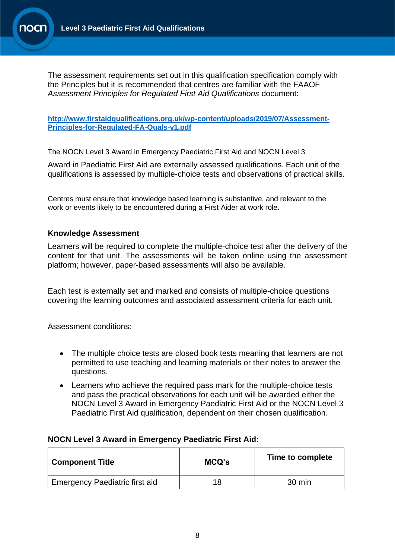

The assessment requirements set out in this qualification specification comply with the Principles but it is recommended that centres are familiar with the FAAOF *Assessment Principles for Regulated First Aid Qualifications* document:

**[http://www.firstaidqualifications.org.uk/wp-content/uploads/2019/07/Assessment-](file:///C:/Users/paul.johnson/AppData/Local/Microsoft/Windows/INetCache/Content.Outlook/83AB6E2T/Assessment%20Principles%20for%20Regulated%20First%20Aid%20Qualifications)[Principles-for-Regulated-FA-Quals-v1.pdf](file:///C:/Users/paul.johnson/AppData/Local/Microsoft/Windows/INetCache/Content.Outlook/83AB6E2T/Assessment%20Principles%20for%20Regulated%20First%20Aid%20Qualifications)**

The NOCN Level 3 Award in Emergency Paediatric First Aid and NOCN Level 3

Award in Paediatric First Aid are externally assessed qualifications. Each unit of the qualifications is assessed by multiple-choice tests and observations of practical skills.

Centres must ensure that knowledge based learning is substantive, and relevant to the work or events likely to be encountered during a First Aider at work role.

#### **Knowledge Assessment**

Learners will be required to complete the multiple-choice test after the delivery of the content for that unit. The assessments will be taken online using the assessment platform; however, paper-based assessments will also be available.

Each test is externally set and marked and consists of multiple-choice questions covering the learning outcomes and associated assessment criteria for each unit.

Assessment conditions:

- The multiple choice tests are closed book tests meaning that learners are not permitted to use teaching and learning materials or their notes to answer the questions.
- Learners who achieve the required pass mark for the multiple-choice tests and pass the practical observations for each unit will be awarded either the NOCN Level 3 Award in Emergency Paediatric First Aid or the NOCN Level 3 Paediatric First Aid qualification, dependent on their chosen qualification.

#### **NOCN Level 3 Award in Emergency Paediatric First Aid:**

| <b>Component Title</b>                | MCQ's | Time to complete |
|---------------------------------------|-------|------------------|
| <b>Emergency Paediatric first aid</b> | 18    | 30 min           |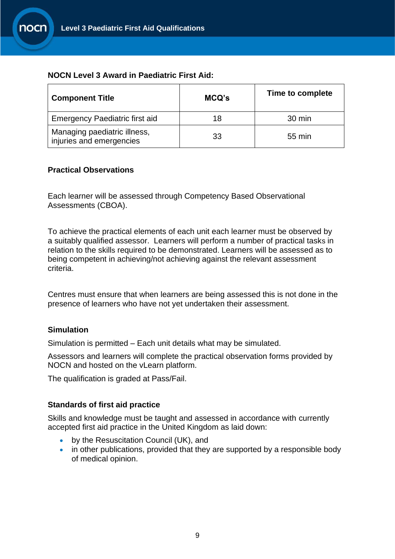

#### **NOCN Level 3 Award in Paediatric First Aid:**

| <b>Component Title</b>                                   | MCQ's | Time to complete |
|----------------------------------------------------------|-------|------------------|
| <b>Emergency Paediatric first aid</b>                    | 18    | $30 \text{ min}$ |
| Managing paediatric illness,<br>injuries and emergencies | 33    | 55 min           |

#### **Practical Observations**

Each learner will be assessed through Competency Based Observational Assessments (CBOA).

To achieve the practical elements of each unit each learner must be observed by a suitably qualified assessor. Learners will perform a number of practical tasks in relation to the skills required to be demonstrated. Learners will be assessed as to being competent in achieving/not achieving against the relevant assessment criteria.

Centres must ensure that when learners are being assessed this is not done in the presence of learners who have not yet undertaken their assessment.

#### **Simulation**

Simulation is permitted – Each unit details what may be simulated.

Assessors and learners will complete the practical observation forms provided by NOCN and hosted on the vLearn platform.

The qualification is graded at Pass/Fail.

#### **Standards of first aid practice**

Skills and knowledge must be taught and assessed in accordance with currently accepted first aid practice in the United Kingdom as laid down:

- by the Resuscitation Council (UK), and
- in other publications, provided that they are supported by a responsible body of medical opinion.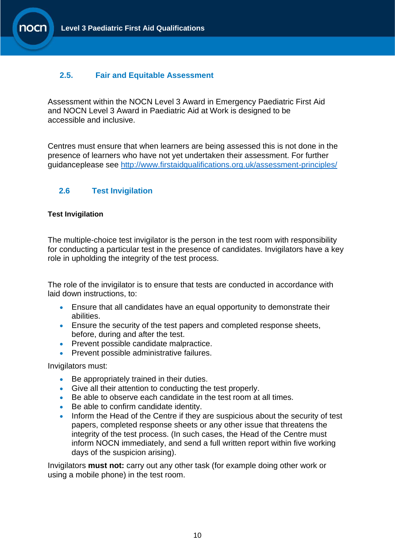### <span id="page-9-0"></span>**2.5. Fair and Equitable Assessment**

Assessment within the NOCN Level 3 Award in Emergency Paediatric First Aid and NOCN Level 3 Award in Paediatric Aid at Work is designed to be accessible and inclusive.

Centres must ensure that when learners are being assessed this is not done in the presence of learners who have not yet undertaken their assessment. For further guidanceplease see <http://www.firstaidqualifications.org.uk/assessment-principles/>

### **2.6 Test Invigilation**

#### **Test Invigilation**

The multiple-choice test invigilator is the person in the test room with responsibility for conducting a particular test in the presence of candidates. Invigilators have a key role in upholding the integrity of the test process.

The role of the invigilator is to ensure that tests are conducted in accordance with laid down instructions, to:

- Ensure that all candidates have an equal opportunity to demonstrate their abilities.
- Ensure the security of the test papers and completed response sheets, before, during and after the test.
- Prevent possible candidate malpractice.
- Prevent possible administrative failures.

Invigilators must:

- Be appropriately trained in their duties.
- Give all their attention to conducting the test properly.
- Be able to observe each candidate in the test room at all times.
- Be able to confirm candidate identity.
- Inform the Head of the Centre if they are suspicious about the security of test papers, completed response sheets or any other issue that threatens the integrity of the test process. (In such cases, the Head of the Centre must inform NOCN immediately, and send a full written report within five working days of the suspicion arising).

Invigilators **must not:** carry out any other task (for example doing other work or using a mobile phone) in the test room.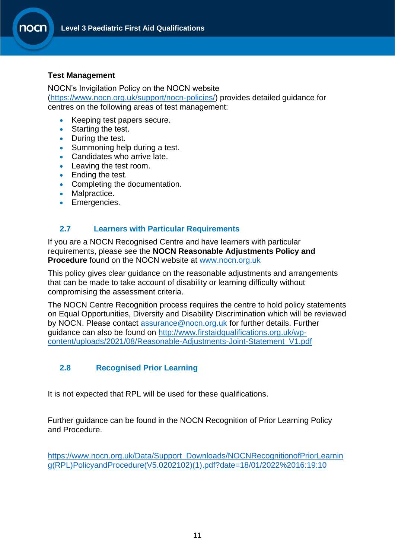#### **Test Management**

NOCN's Invigilation Policy on the NOCN website

[\(https://www.nocn.org.uk/support/nocn-policies/\)](https://www.nocn.org.uk/support/nocn-policies/) provides detailed guidance for centres on the following areas of test management:

- Keeping test papers secure.
- Starting the test.
- During the test.
- Summoning help during a test.
- Candidates who arrive late.
- Leaving the test room.
- Ending the test.
- Completing the documentation.
- Malpractice.
- Emergencies.

#### <span id="page-10-0"></span>**2.7 Learners with Particular Requirements**

If you are a NOCN Recognised Centre and have learners with particular requirements, please see the **NOCN Reasonable Adjustments Policy and Procedure** found on the NOCN website at [www.nocn.org.uk](http://www.nocn.org.uk/)

This policy gives clear guidance on the reasonable adjustments and arrangements that can be made to take account of disability or learning difficulty without compromising the assessment criteria.

The NOCN Centre Recognition process requires the centre to hold policy statements on Equal Opportunities, Diversity and Disability Discrimination which will be reviewed by NOCN. Please contact [assurance@nocn.org.uk](mailto:assurance@nocn.org.uk) for further details. Further guidance can also be found on [http://www.firstaidqualifications.org.uk/wp](http://www.firstaidqualifications.org.uk/wp-content/uploads/2021/08/Reasonable-Adjustments-Joint-Statement_V1.pdf)[content/uploads/2021/08/Reasonable-Adjustments-Joint-Statement\\_V1.pdf](http://www.firstaidqualifications.org.uk/wp-content/uploads/2021/08/Reasonable-Adjustments-Joint-Statement_V1.pdf)

### <span id="page-10-1"></span>**2.8 Recognised Prior Learning**

It is not expected that RPL will be used for these qualifications.

Further guidance can be found in the NOCN Recognition of Prior Learning Policy and Procedure.

[https://www.nocn.org.uk/Data/Support\\_Downloads/NOCNRecognitionofPriorLearnin](https://www.nocn.org.uk/Data/Support_Downloads/NOCNRecognitionofPriorLearning(RPL)PolicyandProcedure(V5.0202102)(1).pdf?date=18/01/2022%2016:19:10) [g\(RPL\)PolicyandProcedure\(V5.0202102\)\(1\).pdf?date=18/01/2022%2016:19:10](https://www.nocn.org.uk/Data/Support_Downloads/NOCNRecognitionofPriorLearning(RPL)PolicyandProcedure(V5.0202102)(1).pdf?date=18/01/2022%2016:19:10)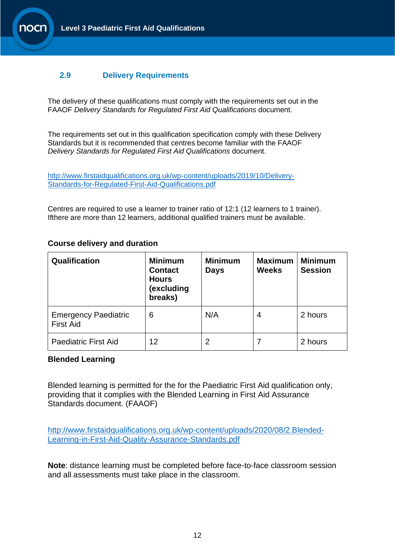#### <span id="page-11-0"></span>**2.9 Delivery Requirements**

The delivery of these qualifications must comply with the requirements set out in the FAAOF *Delivery Standards for Regulated First Aid Qualifications* document.

The requirements set out in this qualification specification comply with these Delivery Standards but it is recommended that centres become familiar with the FAAOF *Delivery Standards for Regulated First Aid Qualifications* document.

[http://www.firstaidqualifications.org.uk/wp-content/uploads/2019/10/Delivery-](http://www.firstaidqualifications.org.uk/wp-content/uploads/2019/10/Delivery-Standards-for-Regulated-First-Aid-Qualifications.pdf)[Standards-for-Regulated-First-Aid-Qualifications.pdf](http://www.firstaidqualifications.org.uk/wp-content/uploads/2019/10/Delivery-Standards-for-Regulated-First-Aid-Qualifications.pdf)

Centres are required to use a learner to trainer ratio of 12:1 (12 learners to 1 trainer). Ifthere are more than 12 learners, additional qualified trainers must be available.

#### **Course delivery and duration**

| Qualification                                   | <b>Minimum</b><br><b>Contact</b><br><b>Hours</b><br>(excluding<br>breaks) | <b>Minimum</b><br><b>Days</b> | <b>Maximum</b><br><b>Weeks</b> | <b>Minimum</b><br><b>Session</b> |
|-------------------------------------------------|---------------------------------------------------------------------------|-------------------------------|--------------------------------|----------------------------------|
| <b>Emergency Paediatric</b><br><b>First Aid</b> | 6                                                                         | N/A                           | 4                              | 2 hours                          |
| <b>Paediatric First Aid</b>                     | 12                                                                        | 2                             |                                | 2 hours                          |

#### **Blended Learning**

Blended learning is permitted for the for the Paediatric First Aid qualification only, providing that it complies with the Blended Learning in First Aid Assurance Standards document. (FAAOF)

[http://www.firstaidqualifications.org.uk/wp-content/uploads/2020/08/2.Blended-](http://www.firstaidqualifications.org.uk/wp-content/uploads/2020/08/2.Blended-Learning-in-First-Aid-Quality-Assurance-Standards.pdf)[Learning-in-First-Aid-Quality-Assurance-Standards.pdf](http://www.firstaidqualifications.org.uk/wp-content/uploads/2020/08/2.Blended-Learning-in-First-Aid-Quality-Assurance-Standards.pdf)

**Note**: distance learning must be completed before face-to-face classroom session and all assessments must take place in the classroom.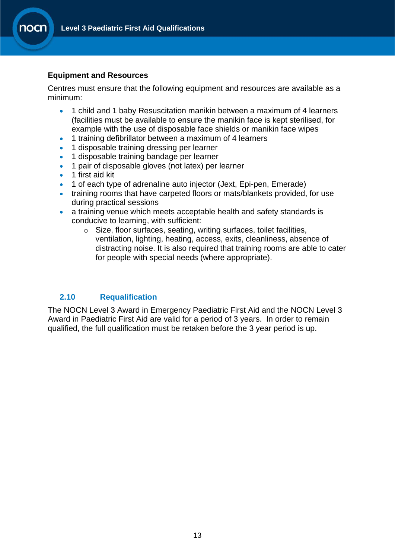#### **Equipment and Resources**

Centres must ensure that the following equipment and resources are available as a minimum:

- 1 child and 1 baby Resuscitation manikin between a maximum of 4 learners (facilities must be available to ensure the manikin face is kept sterilised, for example with the use of disposable face shields or manikin face wipes
- 1 training defibrillator between a maximum of 4 learners
- 1 disposable training dressing per learner
- 1 disposable training bandage per learner
- 1 pair of disposable gloves (not latex) per learner
- 1 first aid kit
- 1 of each type of adrenaline auto injector (Jext, Epi-pen, Emerade)
- training rooms that have carpeted floors or mats/blankets provided, for use during practical sessions
- a training venue which meets acceptable health and safety standards is conducive to learning, with sufficient:
	- o Size, floor surfaces, seating, writing surfaces, toilet facilities, ventilation, lighting, heating, access, exits, cleanliness, absence of distracting noise. It is also required that training rooms are able to cater for people with special needs (where appropriate).

### <span id="page-12-0"></span>**2.10 Requalification**

The NOCN Level 3 Award in Emergency Paediatric First Aid and the NOCN Level 3 Award in Paediatric First Aid are valid for a period of 3 years. In order to remain qualified, the full qualification must be retaken before the 3 year period is up.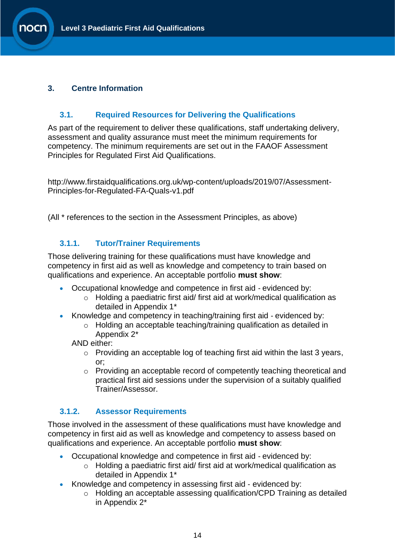### <span id="page-13-0"></span>**3. Centre Information**

### <span id="page-13-1"></span>**3.1. Required Resources for Delivering the Qualifications**

As part of the requirement to deliver these qualifications, staff undertaking delivery, assessment and quality assurance must meet the minimum requirements for competency. The minimum requirements are set out in the FAAOF Assessment Principles for Regulated First Aid Qualifications.

http://www.firstaidqualifications.org.uk/wp-content/uploads/2019/07/Assessment-Principles-for-Regulated-FA-Quals-v1.pdf

(All \* references to the section in the Assessment Principles, as above)

## <span id="page-13-2"></span>**3.1.1. Tutor/Trainer Requirements**

Those delivering training for these qualifications must have knowledge and competency in first aid as well as knowledge and competency to train based on qualifications and experience. An acceptable portfolio **must show**:

- Occupational knowledge and competence in first aid evidenced by:
	- o Holding a paediatric first aid/ first aid at work/medical qualification as detailed in Appendix 1\*
- Knowledge and competency in teaching/training first aid evidenced by:
	- o Holding an acceptable teaching/training qualification as detailed in Appendix 2\*

AND either:

- o Providing an acceptable log of teaching first aid within the last 3 years, or;
- o Providing an acceptable record of competently teaching theoretical and practical first aid sessions under the supervision of a suitably qualified Trainer/Assessor.

### <span id="page-13-3"></span>**3.1.2. Assessor Requirements**

Those involved in the assessment of these qualifications must have knowledge and competency in first aid as well as knowledge and competency to assess based on qualifications and experience. An acceptable portfolio **must show**:

- Occupational knowledge and competence in first aid ‐ evidenced by:
	- o Holding a paediatric first aid/ first aid at work/medical qualification as detailed in Appendix 1\*
- Knowledge and competency in assessing first aid ‐ evidenced by:
	- o Holding an acceptable assessing qualification/CPD Training as detailed in Appendix 2\*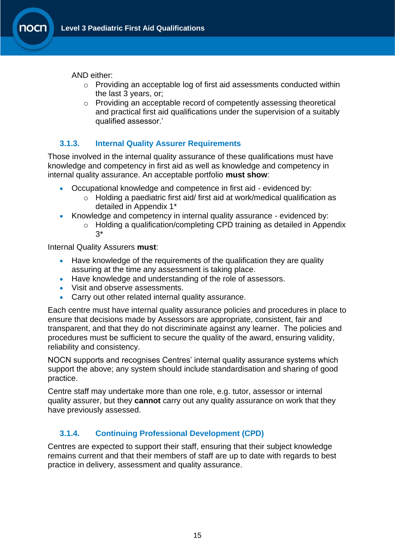AND either:

- o Providing an acceptable log of first aid assessments conducted within the last 3 years, or;
- o Providing an acceptable record of competently assessing theoretical and practical first aid qualifications under the supervision of a suitably qualified assessor.'

## <span id="page-14-0"></span>**3.1.3. Internal Quality Assurer Requirements**

Those involved in the internal quality assurance of these qualifications must have knowledge and competency in first aid as well as knowledge and competency in internal quality assurance. An acceptable portfolio **must show**:

- Occupational knowledge and competence in first aid evidenced by:
	- o Holding a paediatric first aid/ first aid at work/medical qualification as detailed in Appendix 1\*
- Knowledge and competency in internal quality assurance evidenced by:
	- o Holding a qualification/completing CPD training as detailed in Appendix 3\*

Internal Quality Assurers **must**:

- Have knowledge of the requirements of the qualification they are quality assuring at the time any assessment is taking place.
- Have knowledge and understanding of the role of assessors.
- Visit and observe assessments.
- Carry out other related internal quality assurance.

Each centre must have internal quality assurance policies and procedures in place to ensure that decisions made by Assessors are appropriate, consistent, fair and transparent, and that they do not discriminate against any learner. The policies and procedures must be sufficient to secure the quality of the award, ensuring validity, reliability and consistency.

NOCN supports and recognises Centres' internal quality assurance systems which support the above; any system should include standardisation and sharing of good practice.

Centre staff may undertake more than one role, e.g. tutor, assessor or internal quality assurer, but they **cannot** carry out any quality assurance on work that they have previously assessed.

## <span id="page-14-1"></span>**3.1.4. Continuing Professional Development (CPD)**

Centres are expected to support their staff, ensuring that their subject knowledge remains current and that their members of staff are up to date with regards to best practice in delivery, assessment and quality assurance.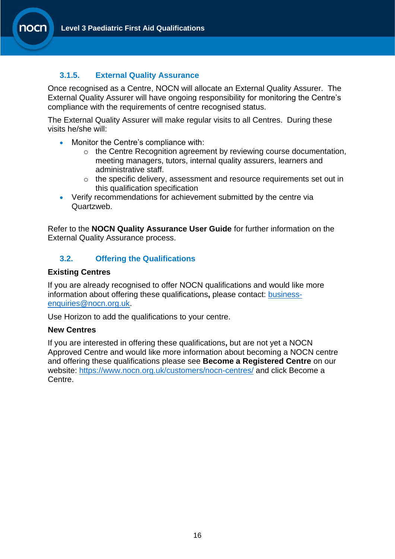## <span id="page-15-0"></span>**3.1.5. External Quality Assurance**

Once recognised as a Centre, NOCN will allocate an External Quality Assurer. The External Quality Assurer will have ongoing responsibility for monitoring the Centre's compliance with the requirements of centre recognised status.

The External Quality Assurer will make regular visits to all Centres. During these visits he/she will:

- Monitor the Centre's compliance with:
	- o the Centre Recognition agreement by reviewing course documentation, meeting managers, tutors, internal quality assurers, learners and administrative staff.
	- $\circ$  the specific delivery, assessment and resource requirements set out in this qualification specification
- Verify recommendations for achievement submitted by the centre via Quartzweb.

Refer to the **NOCN Quality Assurance User Guide** for further information on the External Quality Assurance process.

## <span id="page-15-1"></span>**3.2. Offering the Qualifications**

#### **Existing Centres**

If you are already recognised to offer NOCN qualifications and would like more information about offering these qualifications**,** please contact: [business](mailto:business-enquiries@nocn.org.uk)[enquiries@nocn.org.uk.](mailto:business-enquiries@nocn.org.uk)

Use Horizon to add the qualifications to your centre.

#### **New Centres**

If you are interested in offering these qualifications**,** but are not yet a NOCN Approved Centre and would like more information about becoming a NOCN centre and offering these qualifications please see **Become a Registered Centre** on our website: <https://www.nocn.org.uk/customers/nocn-centres/> and click Become a Centre.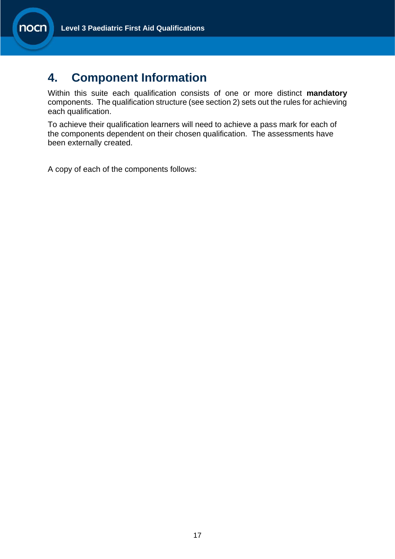## <span id="page-16-0"></span>**4. Component Information**

Within this suite each qualification consists of one or more distinct **mandatory**  components. The qualification structure (see section 2) sets out the rules for achieving each qualification.

To achieve their qualification learners will need to achieve a pass mark for each of the components dependent on their chosen qualification. The assessments have been externally created.

A copy of each of the components follows: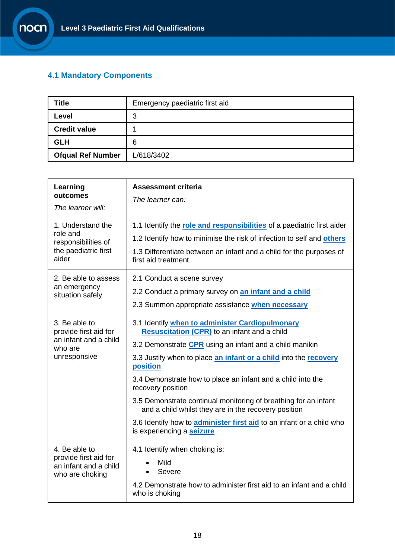## <span id="page-17-0"></span>**4.1 Mandatory Components**

| <b>Title</b>             | Emergency paediatric first aid |
|--------------------------|--------------------------------|
| Level                    | 3                              |
| <b>Credit value</b>      |                                |
| <b>GLH</b>               | 6                              |
| <b>Ofqual Ref Number</b> | L/618/3402                     |

| Learning<br>outcomes<br>The learner will:                                                  | <b>Assessment criteria</b><br>The learner can:                                                                                                                                                                                                                                                                                                                                                                                                                                                                                                                               |
|--------------------------------------------------------------------------------------------|------------------------------------------------------------------------------------------------------------------------------------------------------------------------------------------------------------------------------------------------------------------------------------------------------------------------------------------------------------------------------------------------------------------------------------------------------------------------------------------------------------------------------------------------------------------------------|
| 1. Understand the<br>role and<br>responsibilities of<br>the paediatric first<br>aider      | 1.1 Identify the role and responsibilities of a paediatric first aider<br>1.2 Identify how to minimise the risk of infection to self and others<br>1.3 Differentiate between an infant and a child for the purposes of<br>first aid treatment                                                                                                                                                                                                                                                                                                                                |
| 2. Be able to assess<br>an emergency<br>situation safely                                   | 2.1 Conduct a scene survey<br>2.2 Conduct a primary survey on <b>an infant and a child</b><br>2.3 Summon appropriate assistance when necessary                                                                                                                                                                                                                                                                                                                                                                                                                               |
| 3. Be able to<br>provide first aid for<br>an infant and a child<br>who are<br>unresponsive | 3.1 Identify when to administer Cardiopulmonary<br><b>Resuscitation (CPR) to an infant and a child</b><br>3.2 Demonstrate CPR using an infant and a child manikin<br>3.3 Justify when to place an infant or a child into the recovery<br>position<br>3.4 Demonstrate how to place an infant and a child into the<br>recovery position<br>3.5 Demonstrate continual monitoring of breathing for an infant<br>and a child whilst they are in the recovery position<br>3.6 Identify how to <b>administer first aid</b> to an infant or a child who<br>is experiencing a seizure |
| 4. Be able to<br>provide first aid for<br>an infant and a child<br>who are choking         | 4.1 Identify when choking is:<br>Mild<br>Severe<br>4.2 Demonstrate how to administer first aid to an infant and a child<br>who is choking                                                                                                                                                                                                                                                                                                                                                                                                                                    |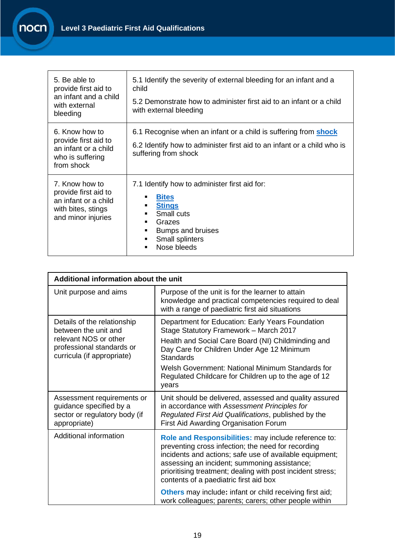| 5. Be able to<br>provide first aid to<br>an infant and a child<br>with external<br>bleeding                | 5.1 Identify the severity of external bleeding for an infant and a<br>child<br>5.2 Demonstrate how to administer first aid to an infant or a child<br>with external bleeding                        |
|------------------------------------------------------------------------------------------------------------|-----------------------------------------------------------------------------------------------------------------------------------------------------------------------------------------------------|
| 6. Know how to<br>provide first aid to<br>an infant or a child<br>who is suffering<br>from shock           | 6.1 Recognise when an infant or a child is suffering from <b>shock</b><br>6.2 Identify how to administer first aid to an infant or a child who is<br>suffering from shock                           |
| 7. Know how to<br>provide first aid to<br>an infant or a child<br>with bites, stings<br>and minor injuries | 7.1 Identify how to administer first aid for:<br><b>Bites</b><br>٠<br><b>Stings</b><br>٠<br>Small cuts<br>$\blacksquare$<br>Grazes<br>Bumps and bruises<br>Small splinters<br>٠<br>Nose bleeds<br>٠ |

<span id="page-18-0"></span>

| Additional information about the unit                                                                                                   |                                                                                                                                                                                                                                                                                                                                         |  |
|-----------------------------------------------------------------------------------------------------------------------------------------|-----------------------------------------------------------------------------------------------------------------------------------------------------------------------------------------------------------------------------------------------------------------------------------------------------------------------------------------|--|
| Unit purpose and aims                                                                                                                   | Purpose of the unit is for the learner to attain<br>knowledge and practical competencies required to deal<br>with a range of paediatric first aid situations                                                                                                                                                                            |  |
| Details of the relationship<br>between the unit and<br>relevant NOS or other<br>professional standards or<br>curricula (if appropriate) | Department for Education: Early Years Foundation<br>Stage Statutory Framework - March 2017<br>Health and Social Care Board (NI) Childminding and<br>Day Care for Children Under Age 12 Minimum<br><b>Standards</b><br>Welsh Government: National Minimum Standards for<br>Regulated Childcare for Children up to the age of 12<br>years |  |
| Assessment requirements or<br>guidance specified by a<br>sector or regulatory body (if<br>appropriate)                                  | Unit should be delivered, assessed and quality assured<br>in accordance with Assessment Principles for<br>Regulated First Aid Qualifications, published by the<br>First Aid Awarding Organisation Forum                                                                                                                                 |  |
| Additional information                                                                                                                  | Role and Responsibilities: may include reference to:<br>preventing cross infection; the need for recording<br>incidents and actions; safe use of available equipment;<br>assessing an incident; summoning assistance;<br>prioritising treatment; dealing with post incident stress;<br>contents of a paediatric first aid box           |  |
|                                                                                                                                         | <b>Others</b> may include: infant or child receiving first aid;<br>work colleagues; parents; carers; other people within                                                                                                                                                                                                                |  |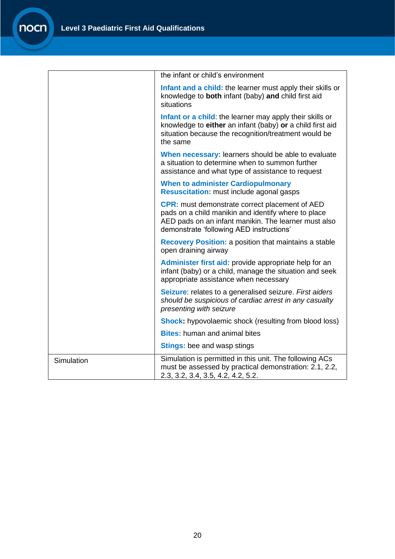<span id="page-19-6"></span><span id="page-19-5"></span><span id="page-19-4"></span><span id="page-19-3"></span><span id="page-19-2"></span><span id="page-19-1"></span><span id="page-19-0"></span>

|            | the infant or child's environment                                                                                                                                                                                |
|------------|------------------------------------------------------------------------------------------------------------------------------------------------------------------------------------------------------------------|
|            | Infant and a child: the learner must apply their skills or<br>knowledge to both infant (baby) and child first aid<br>situations                                                                                  |
|            | Infant or a child: the learner may apply their skills or<br>knowledge to either an infant (baby) or a child first aid<br>situation because the recognition/treatment would be<br>the same                        |
|            | When necessary: learners should be able to evaluate<br>a situation to determine when to summon further<br>assistance and what type of assistance to request                                                      |
|            | <b>When to administer Cardiopulmonary</b><br><b>Resuscitation:</b> must include agonal gasps                                                                                                                     |
|            | <b>CPR:</b> must demonstrate correct placement of AED<br>pads on a child manikin and identify where to place<br>AED pads on an infant manikin. The learner must also<br>demonstrate 'following AED instructions' |
|            | Recovery Position: a position that maintains a stable<br>open draining airway                                                                                                                                    |
|            | Administer first aid: provide appropriate help for an<br>infant (baby) or a child, manage the situation and seek<br>appropriate assistance when necessary                                                        |
|            | Seizure: relates to a generalised seizure. First aiders<br>should be suspicious of cardiac arrest in any casualty<br>presenting with seizure                                                                     |
|            | <b>Shock:</b> hypovolaemic shock (resulting from blood loss)                                                                                                                                                     |
|            | <b>Bites:</b> human and animal bites                                                                                                                                                                             |
|            | <b>Stings:</b> bee and wasp stings                                                                                                                                                                               |
| Simulation | Simulation is permitted in this unit. The following ACs<br>must be assessed by practical demonstration: 2.1, 2.2,<br>2.3, 3.2, 3.4, 3.5, 4.2, 4.2, 5.2.                                                          |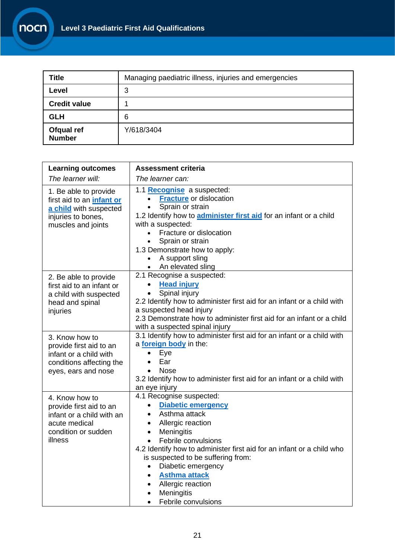| <b>Title</b>                | Managing paediatric illness, injuries and emergencies |
|-----------------------------|-------------------------------------------------------|
| Level                       | 3                                                     |
| <b>Credit value</b>         |                                                       |
| <b>GLH</b>                  | 6                                                     |
| Ofqual ref<br><b>Number</b> | Y/618/3404                                            |

| <b>Learning outcomes</b>                                                                                                        | Assessment criteria                                                                                                                                                                                                                                                                                                                                                                                                                                                                              |  |  |
|---------------------------------------------------------------------------------------------------------------------------------|--------------------------------------------------------------------------------------------------------------------------------------------------------------------------------------------------------------------------------------------------------------------------------------------------------------------------------------------------------------------------------------------------------------------------------------------------------------------------------------------------|--|--|
| The learner will:                                                                                                               | The learner can:                                                                                                                                                                                                                                                                                                                                                                                                                                                                                 |  |  |
| 1. Be able to provide<br>first aid to an <i>infant or</i><br>a child with suspected<br>injuries to bones,<br>muscles and joints | 1.1 Recognise a suspected:<br><b>Fracture</b> or dislocation<br>$\bullet$<br>Sprain or strain<br>$\bullet$<br>1.2 Identify how to <b>administer first aid</b> for an infant or a child<br>with a suspected:<br>Fracture or dislocation<br>Sprain or strain<br>1.3 Demonstrate how to apply:<br>A support sling<br>$\bullet$<br>• An elevated sling                                                                                                                                               |  |  |
| 2. Be able to provide<br>first aid to an infant or<br>a child with suspected<br>head and spinal<br>injuries                     | 2.1 Recognise a suspected:<br><b>Head injury</b><br>$\bullet$<br>Spinal injury<br>$\bullet$<br>2.2 Identify how to administer first aid for an infant or a child with<br>a suspected head injury<br>2.3 Demonstrate how to administer first aid for an infant or a child<br>with a suspected spinal injury                                                                                                                                                                                       |  |  |
| 3. Know how to<br>provide first aid to an<br>infant or a child with<br>conditions affecting the<br>eyes, ears and nose          | 3.1 Identify how to administer first aid for an infant or a child with<br>a foreign body in the:<br>Eye<br>$\bullet$<br>Ear<br>$\bullet$<br><b>Nose</b><br>$\bullet$<br>3.2 Identify how to administer first aid for an infant or a child with<br>an eye injury                                                                                                                                                                                                                                  |  |  |
| 4. Know how to<br>provide first aid to an<br>infant or a child with an<br>acute medical<br>condition or sudden<br>illness       | 4.1 Recognise suspected:<br><b>Diabetic emergency</b><br>$\bullet$<br>Asthma attack<br>$\bullet$<br>Allergic reaction<br>$\bullet$<br><b>Meningitis</b><br>$\bullet$<br>Febrile convulsions<br>$\bullet$<br>4.2 Identify how to administer first aid for an infant or a child who<br>is suspected to be suffering from:<br>Diabetic emergency<br>$\bullet$<br><b>Asthma attack</b><br>$\bullet$<br>Allergic reaction<br>$\bullet$<br>Meningitis<br>$\bullet$<br>Febrile convulsions<br>$\bullet$ |  |  |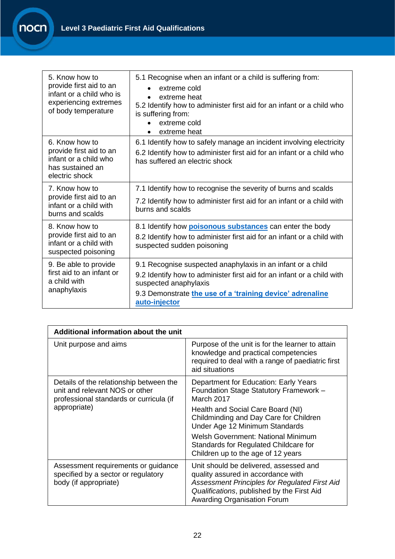| 5. Know how to<br>provide first aid to an<br>infant or a child who is<br>experiencing extremes<br>of body temperature | 5.1 Recognise when an infant or a child is suffering from:<br>extreme cold<br>extreme heat<br>5.2 Identify how to administer first aid for an infant or a child who<br>is suffering from:<br>extreme cold<br>extreme heat                    |  |
|-----------------------------------------------------------------------------------------------------------------------|----------------------------------------------------------------------------------------------------------------------------------------------------------------------------------------------------------------------------------------------|--|
| 6. Know how to<br>provide first aid to an<br>infant or a child who<br>has sustained an<br>electric shock              | 6.1 Identify how to safely manage an incident involving electricity<br>6.2 Identify how to administer first aid for an infant or a child who<br>has suffered an electric shock                                                               |  |
| 7. Know how to<br>provide first aid to an<br>infant or a child with<br>burns and scalds                               | 7.1 Identify how to recognise the severity of burns and scalds<br>7.2 Identify how to administer first aid for an infant or a child with<br>burns and scalds                                                                                 |  |
| 8. Know how to<br>provide first aid to an<br>infant or a child with<br>suspected poisoning                            | 8.1 Identify how <b>poisonous substances</b> can enter the body<br>8.2 Identify how to administer first aid for an infant or a child with<br>suspected sudden poisoning                                                                      |  |
| 9. Be able to provide<br>first aid to an infant or<br>a child with<br>anaphylaxis                                     | 9.1 Recognise suspected anaphylaxis in an infant or a child<br>9.2 Identify how to administer first aid for an infant or a child with<br>suspected anaphylaxis<br>9.3 Demonstrate the use of a 'training device' adrenaline<br>auto-injector |  |

| Additional information about the unit                                                                                                |                                                                                                                                                                                                                          |  |
|--------------------------------------------------------------------------------------------------------------------------------------|--------------------------------------------------------------------------------------------------------------------------------------------------------------------------------------------------------------------------|--|
| Unit purpose and aims                                                                                                                | Purpose of the unit is for the learner to attain<br>knowledge and practical competencies<br>required to deal with a range of paediatric first<br>aid situations                                                          |  |
| Details of the relationship between the<br>unit and relevant NOS or other<br>professional standards or curricula (if<br>appropriate) | Department for Education: Early Years<br>Foundation Stage Statutory Framework -<br>March 2017                                                                                                                            |  |
|                                                                                                                                      | Health and Social Care Board (NI)<br>Childminding and Day Care for Children<br>Under Age 12 Minimum Standards                                                                                                            |  |
|                                                                                                                                      | Welsh Government: National Minimum<br>Standards for Regulated Childcare for<br>Children up to the age of 12 years                                                                                                        |  |
| Assessment requirements or guidance<br>specified by a sector or regulatory<br>body (if appropriate)                                  | Unit should be delivered, assessed and<br>quality assured in accordance with<br><b>Assessment Principles for Regulated First Aid</b><br>Qualifications, published by the First Aid<br><b>Awarding Organisation Forum</b> |  |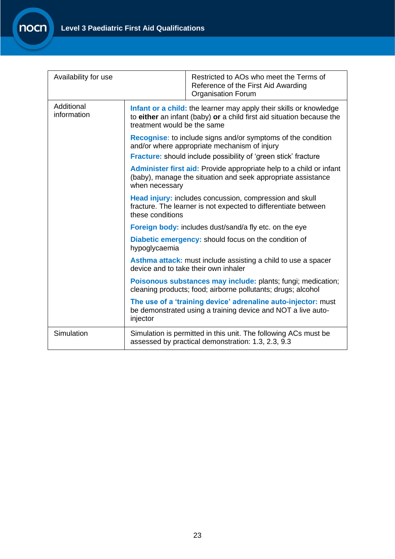<span id="page-22-6"></span><span id="page-22-5"></span><span id="page-22-4"></span><span id="page-22-3"></span><span id="page-22-2"></span><span id="page-22-1"></span><span id="page-22-0"></span>

| Availability for use      |                                                                                                                                                                                                                                 | Restricted to AOs who meet the Terms of<br>Reference of the First Aid Awarding<br><b>Organisation Forum</b>                  |  |
|---------------------------|---------------------------------------------------------------------------------------------------------------------------------------------------------------------------------------------------------------------------------|------------------------------------------------------------------------------------------------------------------------------|--|
| Additional<br>information | Infant or a child: the learner may apply their skills or knowledge<br>to either an infant (baby) or a child first aid situation because the<br>treatment would be the same                                                      |                                                                                                                              |  |
|                           | <b>Recognise:</b> to include signs and/or symptoms of the condition<br>and/or where appropriate mechanism of injury<br>Fracture: should include possibility of 'green stick' fracture                                           |                                                                                                                              |  |
|                           |                                                                                                                                                                                                                                 | Administer first aid: Provide appropriate help to a child or infant                                                          |  |
|                           | (baby), manage the situation and seek appropriate assistance<br>when necessary<br>Head injury: includes concussion, compression and skull<br>fracture. The learner is not expected to differentiate between<br>these conditions |                                                                                                                              |  |
|                           |                                                                                                                                                                                                                                 |                                                                                                                              |  |
|                           |                                                                                                                                                                                                                                 | <b>Foreign body:</b> includes dust/sand/a fly etc. on the eye                                                                |  |
|                           | Diabetic emergency: should focus on the condition of<br>hypoglycaemia                                                                                                                                                           |                                                                                                                              |  |
|                           |                                                                                                                                                                                                                                 | Asthma attack: must include assisting a child to use a spacer<br>device and to take their own inhaler                        |  |
|                           |                                                                                                                                                                                                                                 | Poisonous substances may include: plants; fungi; medication;<br>cleaning products; food; airborne pollutants; drugs; alcohol |  |
|                           | The use of a 'training device' adrenaline auto-injector: must<br>be demonstrated using a training device and NOT a live auto-<br>injector                                                                                       |                                                                                                                              |  |
| Simulation                |                                                                                                                                                                                                                                 | Simulation is permitted in this unit. The following ACs must be<br>assessed by practical demonstration: 1.3, 2.3, 9.3        |  |